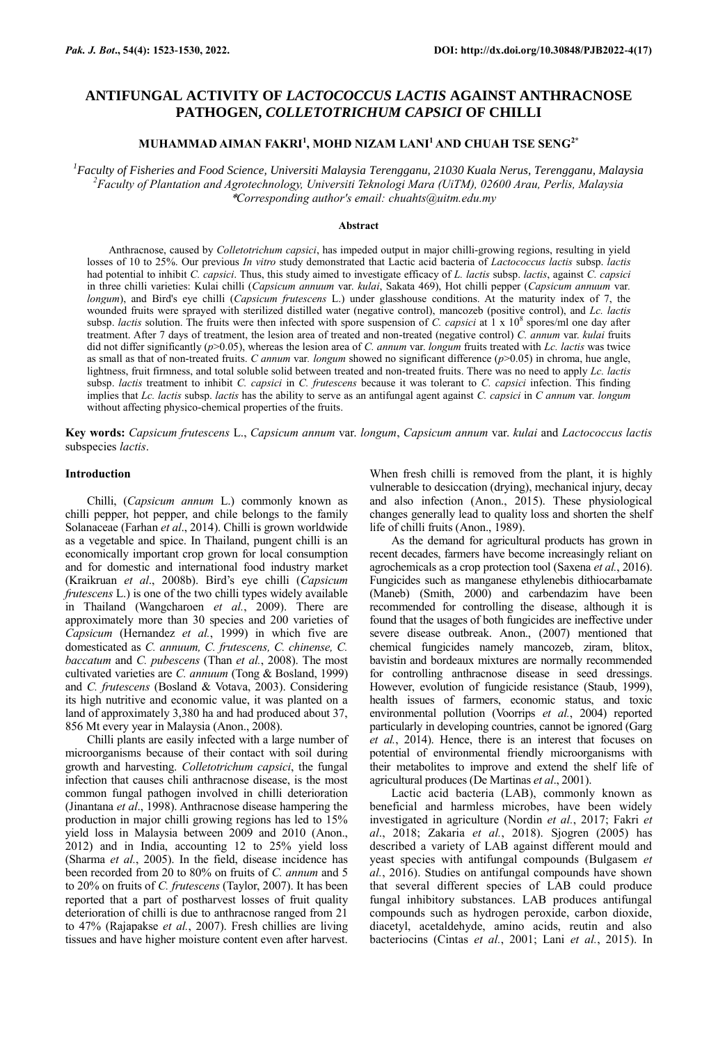# **ANTIFUNGAL ACTIVITY OF** *LACTOCOCCUS LACTIS* **AGAINST ANTHRACNOSE PATHOGEN,** *COLLETOTRICHUM CAPSICI* **OF CHILLI**

# **MUHAMMAD AIMAN FAKRI<sup>1</sup> , MOHD NIZAM LANI<sup>1</sup>AND CHUAH TSE SENG2\***

*<sup>1</sup>Faculty of Fisheries and Food Science, Universiti Malaysia Terengganu, 21030 Kuala Nerus, Terengganu, Malaysia <sup>2</sup>Faculty of Plantation and Agrotechnology, Universiti Teknologi Mara (UiTM), 02600 Arau, Perlis, Malaysia* \**Corresponding author's email: chuahts@uitm.edu.my*

### **Abstract**

Anthracnose, caused by *Colletotrichum capsici*, has impeded output in major chilli-growing regions, resulting in yield losses of 10 to 25%. Our previous *In vitro* study demonstrated that Lactic acid bacteria of *Lactococcus lactis* subsp. *lactis* had potential to inhibit *C. capsici*. Thus, this study aimed to investigate efficacy of *L. lactis* subsp. *lactis*, against *C. capsici* in three chilli varieties: Kulai chilli (*Capsicum annuum* var. *kulai*, Sakata 469), Hot chilli pepper (*Capsicum annuum* var*. longum*), and Bird's eye chilli (*Capsicum frutescens* L.) under glasshouse conditions. At the maturity index of 7, the wounded fruits were sprayed with sterilized distilled water (negative control), mancozeb (positive control), and *Lc. lactis* subsp. *lactis* solution. The fruits were then infected with spore suspension of *C. capsici* at 1 x 10<sup>8</sup> spores/ml one day after treatment. After 7 days of treatment, the lesion area of treated and non-treated (negative control) *C. annum* var. *kulai* fruits did not differ significantly (*p*>0.05), whereas the lesion area of *C. annum* var. *longum* fruits treated with *Lc. lactis* was twice as small as that of non-treated fruits. *C annum* var*. longum* showed no significant difference (*p*>0.05) in chroma, hue angle, lightness, fruit firmness, and total soluble solid between treated and non-treated fruits. There was no need to apply *Lc. lactis* subsp. *lactis* treatment to inhibit *C. capsici* in *C. frutescens* because it was tolerant to *C. capsici* infection. This finding implies that *Lc. lactis* subsp. *lactis* has the ability to serve as an antifungal agent against *C. capsici* in *C annum* var*. longum* without affecting physico-chemical properties of the fruits.

**Key words:** *Capsicum frutescens* L., *Capsicum annum* var. *longum*, *Capsicum annum* var. *kulai* and *Lactococcus lactis* subspecies *lactis*.

#### **Introduction**

Chilli, (*Capsicum annum* L.) commonly known as chilli pepper, hot pepper, and chile belongs to the family Solanaceae (Farhan *et al*., 2014). Chilli is grown worldwide as a vegetable and spice. In Thailand, pungent chilli is an economically important crop grown for local consumption and for domestic and international food industry market (Kraikruan *et al*., 2008b). Bird's eye chilli (*Capsicum frutescens* L.) is one of the two chilli types widely available in Thailand (Wangcharoen *et al.*, 2009). There are approximately more than 30 species and 200 varieties of *Capsicum* (Hernandez *et al.*, 1999) in which five are domesticated as *C. annuum, C. frutescens, C. chinense, C. baccatum* and *C. pubescens* (Than *et al.*, 2008). The most cultivated varieties are *C. annuum* (Tong & Bosland, 1999) and *C. frutescens* (Bosland & Votava, 2003). Considering its high nutritive and economic value, it was planted on a land of approximately 3,380 ha and had produced about 37, 856 Mt every year in Malaysia (Anon., 2008).

Chilli plants are easily infected with a large number of microorganisms because of their contact with soil during growth and harvesting. *Colletotrichum capsici*, the fungal infection that causes chili anthracnose disease, is the most common fungal pathogen involved in chilli deterioration (Jinantana *et al*., 1998). Anthracnose disease hampering the production in major chilli growing regions has led to 15% yield loss in Malaysia between 2009 and 2010 (Anon., 2012) and in India, accounting 12 to 25% yield loss (Sharma *et al.*, 2005). In the field, disease incidence has been recorded from 20 to 80% on fruits of *C. annum* and 5 to 20% on fruits of *C. frutescens* (Taylor, 2007). It has been reported that a part of postharvest losses of fruit quality deterioration of chilli is due to anthracnose ranged from 21 to 47% (Rajapakse *et al.*, 2007). Fresh chillies are living tissues and have higher moisture content even after harvest.

When fresh chilli is removed from the plant, it is highly vulnerable to desiccation (drying), mechanical injury, decay and also infection (Anon., 2015). These physiological changes generally lead to quality loss and shorten the shelf life of chilli fruits (Anon., 1989).

As the demand for agricultural products has grown in recent decades, farmers have become increasingly reliant on agrochemicals as a crop protection tool (Saxena *et al.*, 2016). Fungicides such as manganese ethylenebis dithiocarbamate (Maneb) (Smith, 2000) and carbendazim have been recommended for controlling the disease, although it is found that the usages of both fungicides are ineffective under severe disease outbreak. Anon., (2007) mentioned that chemical fungicides namely mancozeb, ziram, blitox, bavistin and bordeaux mixtures are normally recommended for controlling anthracnose disease in seed dressings. However, evolution of fungicide resistance (Staub, 1999), health issues of farmers, economic status, and toxic environmental pollution (Voorrips *et al.*, 2004) reported particularly in developing countries, cannot be ignored (Garg *et al.*, 2014). Hence, there is an interest that focuses on potential of environmental friendly microorganisms with their metabolites to improve and extend the shelf life of agricultural produces (De Martinas *et al*., 2001).

Lactic acid bacteria (LAB), commonly known as beneficial and harmless microbes, have been widely investigated in agriculture (Nordin *et al.*, 2017; Fakri *et al*., 2018; Zakaria *et al.*, 2018). Sjogren (2005) has described a variety of LAB against different mould and yeast species with antifungal compounds (Bulgasem *et al.*, 2016). Studies on antifungal compounds have shown that several different species of LAB could produce fungal inhibitory substances. LAB produces antifungal compounds such as hydrogen peroxide, carbon dioxide, diacetyl, acetaldehyde, amino acids, reutin and also bacteriocins (Cintas *et al.*, 2001; Lani *et al.*, 2015). In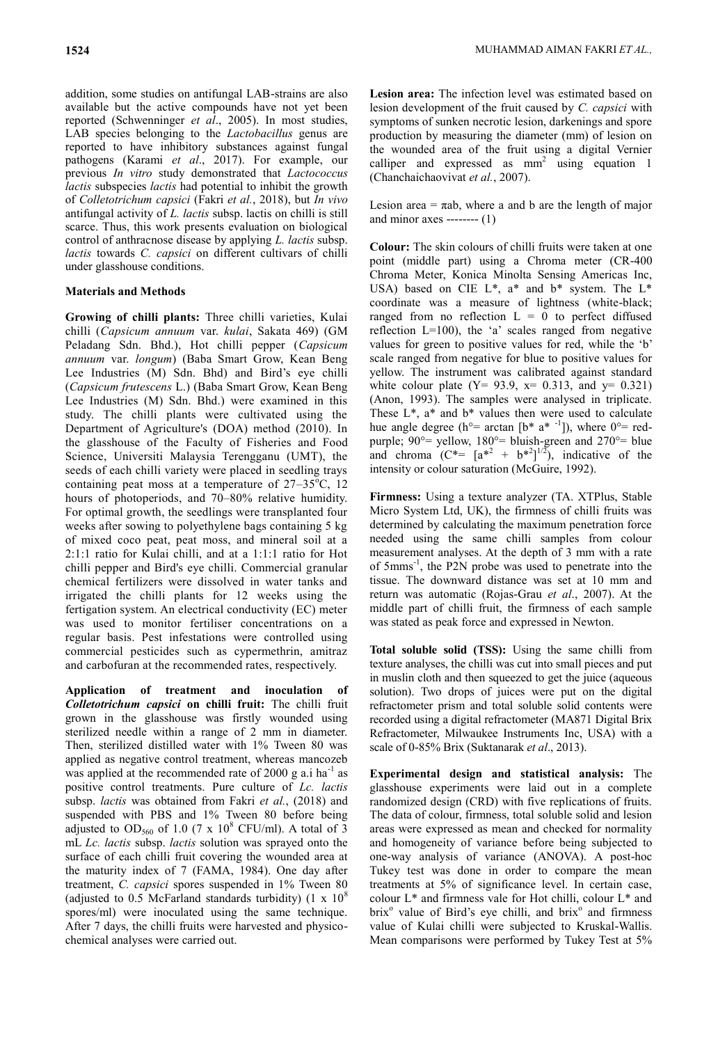addition, some studies on antifungal LAB-strains are also available but the active compounds have not yet been reported (Schwenninger *et al*., 2005). In most studies, LAB species belonging to the *Lactobacillus* genus are reported to have inhibitory substances against fungal pathogens (Karami *et al*., 2017). For example, our previous *In vitro* study demonstrated that *Lactococcus lactis* subspecies *lactis* had potential to inhibit the growth of *Colletotrichum capsici* (Fakri *et al.*, 2018), but *In vivo*  antifungal activity of *L. lactis* subsp. lactis on chilli is still scarce. Thus, this work presents evaluation on biological control of anthracnose disease by applying *L. lactis* subsp. *lactis* towards *C. capsici* on different cultivars of chilli under glasshouse conditions.

## **Materials and Methods**

**Growing of chilli plants:** Three chilli varieties, Kulai chilli (*Capsicum annuum* var. *kulai*, Sakata 469) (GM Peladang Sdn. Bhd.), Hot chilli pepper (*Capsicum annuum* var. *longum*) (Baba Smart Grow, Kean Beng Lee Industries (M) Sdn. Bhd) and Bird's eye chilli (*Capsicum frutescens* L.) (Baba Smart Grow, Kean Beng Lee Industries (M) Sdn. Bhd.) were examined in this study. The chilli plants were cultivated using the Department of Agriculture's (DOA) method (2010). In the glasshouse of the Faculty of Fisheries and Food Science, Universiti Malaysia Terengganu (UMT), the seeds of each chilli variety were placed in seedling trays containing peat moss at a temperature of  $27-35^{\circ}$ C, 12 hours of photoperiods, and 70–80% relative humidity. For optimal growth, the seedlings were transplanted four weeks after sowing to polyethylene bags containing 5 kg of mixed coco peat, peat moss, and mineral soil at a 2:1:1 ratio for Kulai chilli, and at a 1:1:1 ratio for Hot chilli pepper and Bird's eye chilli. Commercial granular chemical fertilizers were dissolved in water tanks and irrigated the chilli plants for 12 weeks using the fertigation system. An electrical conductivity (EC) meter was used to monitor fertiliser concentrations on a regular basis. Pest infestations were controlled using commercial pesticides such as cypermethrin, amitraz and carbofuran at the recommended rates, respectively.

**Application of treatment and inoculation of**  *Colletotrichum capsici* **on chilli fruit:** The chilli fruit grown in the glasshouse was firstly wounded using sterilized needle within a range of 2 mm in diameter. Then, sterilized distilled water with 1% Tween 80 was applied as negative control treatment, whereas mancozeb was applied at the recommended rate of 2000 g a.i ha<sup>-1</sup> as positive control treatments. Pure culture of *Lc. lactis* subsp. *lactis* was obtained from Fakri *et al.*, (2018) and suspended with PBS and 1% Tween 80 before being adjusted to OD<sub>560</sub> of 1.0 (7 x 10<sup>8</sup> CFU/ml). A total of 3 mL *Lc. lactis* subsp. *lactis* solution was sprayed onto the surface of each chilli fruit covering the wounded area at the maturity index of 7 (FAMA, 1984). One day after treatment, *C. capsici* spores suspended in 1% Tween 80 (adjusted to 0.5 McFarland standards turbidity)  $(1 \times 10^8)$ spores/ml) were inoculated using the same technique. After 7 days, the chilli fruits were harvested and physicochemical analyses were carried out.

**Lesion area:** The infection level was estimated based on lesion development of the fruit caused by *C. capsici* with symptoms of sunken necrotic lesion, darkenings and spore production by measuring the diameter (mm) of lesion on the wounded area of the fruit using a digital Vernier calliper and expressed as  $mm<sup>2</sup>$  using equation 1 (Chanchaichaovivat *et al.*, 2007).

Lesion area  $= \pi$ ab, where a and b are the length of major and minor axes -------- (1)

**Colour:** The skin colours of chilli fruits were taken at one point (middle part) using a Chroma meter (CR-400 Chroma Meter, Konica Minolta Sensing Americas Inc, USA) based on CIE L\*, a\* and b\* system. The L\* coordinate was a measure of lightness (white-black; ranged from no reflection  $L = 0$  to perfect diffused reflection  $L=100$ ), the 'a' scales ranged from negative values for green to positive values for red, while the 'b' scale ranged from negative for blue to positive values for yellow. The instrument was calibrated against standard white colour plate (Y= 93.9,  $x= 0.313$ , and  $y= 0.321$ ) (Anon, 1993). The samples were analysed in triplicate. These  $L^*$ ,  $a^*$  and  $b^*$  values then were used to calculate hue angle degree (h<sup>o</sup>= arctan [b<sup>\*</sup> a<sup>\* -1</sup>]), where 0<sup>o</sup>= redpurple;  $90^\circ$ = yellow,  $180^\circ$ = bluish-green and  $270^\circ$ = blue and chroma  $(C^* = [a^{*2} + b^{*2}]^{1/2})$ , indicative of the intensity or colour saturation (McGuire, 1992).

**Firmness:** Using a texture analyzer (TA. XTPlus, Stable Micro System Ltd, UK), the firmness of chilli fruits was determined by calculating the maximum penetration force needed using the same chilli samples from colour measurement analyses. At the depth of 3 mm with a rate of 5mms-1 , the P2N probe was used to penetrate into the tissue. The downward distance was set at 10 mm and return was automatic (Rojas-Grau *et al*., 2007). At the middle part of chilli fruit, the firmness of each sample was stated as peak force and expressed in Newton.

**Total soluble solid (TSS):** Using the same chilli from texture analyses, the chilli was cut into small pieces and put in muslin cloth and then squeezed to get the juice (aqueous solution). Two drops of juices were put on the digital refractometer prism and total soluble solid contents were recorded using a digital refractometer (MA871 Digital Brix Refractometer, Milwaukee Instruments Inc, USA) with a scale of 0-85% Brix (Suktanarak *et al*., 2013).

**Experimental design and statistical analysis:** The glasshouse experiments were laid out in a complete randomized design (CRD) with five replications of fruits. The data of colour, firmness, total soluble solid and lesion areas were expressed as mean and checked for normality and homogeneity of variance before being subjected to one-way analysis of variance (ANOVA). A post-hoc Tukey test was done in order to compare the mean treatments at 5% of significance level. In certain case, colour L\* and firmness vale for Hot chilli, colour L\* and brix<sup>o</sup> value of Bird's eye chilli, and brix<sup>o</sup> and firmness value of Kulai chilli were subjected to Kruskal-Wallis. Mean comparisons were performed by Tukey Test at 5%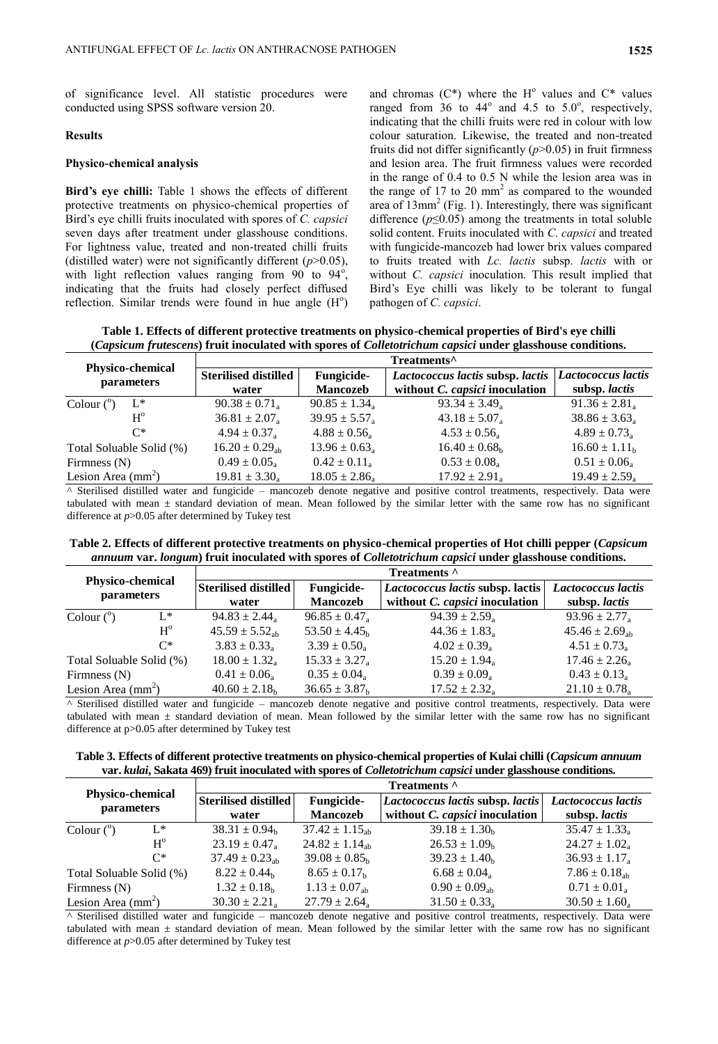of significance level. All statistic procedures were conducted using SPSS software version 20.

### **Results**

#### **Physico-chemical analysis**

**Bird's eye chilli:** Table 1 shows the effects of different protective treatments on physico-chemical properties of Bird's eye chilli fruits inoculated with spores of *C. capsici* seven days after treatment under glasshouse conditions. For lightness value, treated and non-treated chilli fruits (distilled water) were not significantly different (*p*>0.05), with light reflection values ranging from  $90^{\circ}$  to  $94^{\circ}$ , indicating that the fruits had closely perfect diffused reflection. Similar trends were found in hue angle  $(H<sup>o</sup>)$ 

and chromas  $(C^*)$  where the H<sup>o</sup> values and  $C^*$  values ranged from  $36$  to  $44^{\circ}$  and  $4.5$  to  $5.0^{\circ}$ , respectively, indicating that the chilli fruits were red in colour with low colour saturation. Likewise, the treated and non-treated fruits did not differ significantly (*p*>0.05) in fruit firmness and lesion area. The fruit firmness values were recorded in the range of 0.4 to 0.5 N while the lesion area was in the range of 17 to 20  $\text{mm}^2$  as compared to the wounded area of  $13$ mm<sup>2</sup> (Fig. 1). Interestingly, there was significant difference  $(p \le 0.05)$  among the treatments in total soluble solid content. Fruits inoculated with *C. capsici* and treated with fungicide-mancozeb had lower brix values compared to fruits treated with *Lc. lactis* subsp. *lactis* with or without *C. capsici* inoculation. This result implied that Bird's Eye chilli was likely to be tolerant to fungal pathogen of *C. capsici*.

**Table 1. Effects of different protective treatments on physico-chemical properties of Bird's eye chilli (***Capsicum frutescens***) fruit inoculated with spores of** *Colletotrichum capsici* **under glasshouse conditions.**

|                                                                                                                                                                                                                                                                                                                                                                                                                                                                                       | Treatments <sup>^</sup>       |                               |                                       |                               |  |
|---------------------------------------------------------------------------------------------------------------------------------------------------------------------------------------------------------------------------------------------------------------------------------------------------------------------------------------------------------------------------------------------------------------------------------------------------------------------------------------|-------------------------------|-------------------------------|---------------------------------------|-------------------------------|--|
| <b>Physico-chemical</b>                                                                                                                                                                                                                                                                                                                                                                                                                                                               | <b>Sterilised distilled</b>   | <b>Fungicide-</b>             | Lactococcus lactis subsp. lactis      | Lactococcus lactis            |  |
| parameters                                                                                                                                                                                                                                                                                                                                                                                                                                                                            | water                         | <b>Mancozeb</b>               | without <i>C. capsici</i> inoculation | subsp. lactis                 |  |
| Colour $(^\circ)$<br>$L^*$                                                                                                                                                                                                                                                                                                                                                                                                                                                            | $90.38 \pm 0.71_a$            | $90.85 \pm 1.34$ <sub>a</sub> | $93.34 \pm 3.49$ <sub>a</sub>         | $91.36 \pm 2.81_a$            |  |
| $H^{\rm o}$                                                                                                                                                                                                                                                                                                                                                                                                                                                                           | $36.81 \pm 2.07$ <sub>a</sub> | $39.95 \pm 5.57$ <sub>a</sub> | $43.18 \pm 5.07$ <sub>a</sub>         | $38.86 \pm 3.63$ <sub>a</sub> |  |
| $C^*$                                                                                                                                                                                                                                                                                                                                                                                                                                                                                 | $4.94 \pm 0.37_{\rm a}$       | $4.88 \pm 0.56$ <sub>a</sub>  | $4.53 \pm 0.56$ <sub>a</sub>          | $4.89 \pm 0.73$ <sub>a</sub>  |  |
| Total Soluable Solid (%)                                                                                                                                                                                                                                                                                                                                                                                                                                                              | $16.20 \pm 0.29_{\rm ab}$     | $13.96 \pm 0.63$ <sub>a</sub> | $16.40 \pm 0.68_h$                    | $16.60 \pm 1.11_h$            |  |
| Firmness $(N)$                                                                                                                                                                                                                                                                                                                                                                                                                                                                        | $0.49 \pm 0.05$ <sub>a</sub>  | $0.42 \pm 0.11_a$             | $0.53 \pm 0.08$ <sub>a</sub>          | $0.51 \pm 0.06$ <sub>a</sub>  |  |
| Lesion Area $(mm2)$                                                                                                                                                                                                                                                                                                                                                                                                                                                                   | $19.81 \pm 3.30_a$            | $18.05 \pm 2.86$ <sub>a</sub> | $17.92 \pm 2.91_a$                    | $19.49 \pm 2.59$ <sub>a</sub> |  |
| $A \cdot C_1 = \frac{11}{11} + \frac{11}{11} + \frac{1}{11} + \frac{1}{11} + \frac{1}{11} + \frac{1}{11} + \frac{1}{11} + \frac{1}{11} + \frac{1}{11} + \frac{1}{11} + \frac{1}{11} + \frac{1}{11} + \frac{1}{11} + \frac{1}{11} + \frac{1}{11} + \frac{1}{11} + \frac{1}{11} + \frac{1}{11} + \frac{1}{11} + \frac{1}{11} + \frac{1}{11} + \frac{1}{11} + \frac{1}{11} + \frac{1$<br>$1 \t 1 \t 1$ and $1 \t 1 \t 1$ and $1 \t 1 \t 1$ and $1 \t 1 \t 1 \t 1$ and $1 \t 1 \t 1 \t 1$ |                               |                               |                                       |                               |  |

^ Sterilised distilled water and fungicide – mancozeb denote negative and positive control treatments, respectively. Data were tabulated with mean  $\pm$  standard deviation of mean. Mean followed by the similar letter with the same row has no significant difference at *p*>0.05 after determined by Tukey test

**Table 2. Effects of different protective treatments on physico-chemical properties of Hot chilli pepper (***Capsicum annuum* **var.** *longum***) fruit inoculated with spores of** *Colletotrichum capsici* **under glasshouse conditions.**

|                                       |                              | Treatments ^                  |                                       |                               |  |  |
|---------------------------------------|------------------------------|-------------------------------|---------------------------------------|-------------------------------|--|--|
| <b>Physico-chemical</b><br>parameters | Sterilised distilled         | <b>Fungicide-</b>             | Lactococcus lactis subsp. lactis      | Lactococcus lactis            |  |  |
|                                       | water                        | <b>Mancozeb</b>               | without <i>C. capsici</i> inoculation | subsp. lactis                 |  |  |
| $L^*$<br>Colour $(^\circ)$            | $94.83 \pm 2.44$             | $96.85 \pm 0.47$              | $94.39 \pm 2.59$ <sub>a</sub>         | $93.96 \pm 2.77$              |  |  |
| $H^{\rm o}$                           | $45.59 \pm 5.52_{\rm sh}$    | $53.50 \pm 4.45$ <sub>h</sub> | $44.36 \pm 1.83$                      | $45.46 \pm 2.69_{\rm ab}$     |  |  |
| $C^*$                                 | $3.83 \pm 0.33$ <sub>a</sub> | $3.39 \pm 0.50$               | $4.02 \pm 0.39$ <sub>a</sub>          | $4.51 \pm 0.73$               |  |  |
| Total Soluable Solid (%)              | $18.00 \pm 1.32_a$           | $15.33 \pm 3.27$ <sub>a</sub> | $15.20 \pm 1.94$ <sub>a</sub>         | $17.46 \pm 2.26$ <sub>a</sub> |  |  |
| Firmness $(N)$                        | $0.41 \pm 0.06$ <sub>a</sub> | $0.35 \pm 0.04$               | $0.39 \pm 0.09$ <sub>a</sub>          | $0.43 \pm 0.13$               |  |  |
| Lesion Area $(mm2)$                   | $40.60 \pm 2.18_h$           | $36.65 \pm 3.87$ <sub>h</sub> | $17.52 \pm 2.32_a$                    | $21.10 \pm 0.78_a$            |  |  |
|                                       |                              |                               |                                       |                               |  |  |

^ Sterilised distilled water and fungicide – mancozeb denote negative and positive control treatments, respectively. Data were tabulated with mean  $\pm$  standard deviation of mean. Mean followed by the similar letter with the same row has no significant difference at p>0.05 after determined by Tukey test

**Table 3. Effects of different protective treatments on physico-chemical properties of Kulai chilli (***Capsicum annuum* **var.** *kulai***, Sakata 469) fruit inoculated with spores of** *Colletotrichum capsici* **under glasshouse conditions.**

| <b>Physico-chemical</b><br><i>parameters</i> |             | Treatments ^                  |                               |                                       |                               |  |
|----------------------------------------------|-------------|-------------------------------|-------------------------------|---------------------------------------|-------------------------------|--|
|                                              |             | <b>Sterilised distilled</b>   | <b>Fungicide-</b>             | Lactococcus lactis subsp. lactis      | Lactococcus lactis            |  |
|                                              |             | water                         | <b>Mancozeb</b>               | without <i>C. capsici</i> inoculation | subsp. lactis                 |  |
| Colour $(^\circ)$                            | $L^*$       | $38.31 \pm 0.94$ <sub>b</sub> | $37.42 \pm 1.15_{ab}$         | $39.18 \pm 1.30_h$                    | $35.47 \pm 1.33$ <sub>a</sub> |  |
|                                              | $H^{\rm o}$ | $23.19 \pm 0.47$ <sub>a</sub> | $24.82 \pm 1.14_{ab}$         | $26.53 \pm 1.09_h$                    | $24.27 \pm 1.02$ <sub>a</sub> |  |
|                                              | $C^*$       | $37.49 \pm 0.23_{\rm ab}$     | $39.08 \pm 0.85$ <sub>h</sub> | $39.23 \pm 1.40_h$                    | $36.93 \pm 1.17$ <sub>a</sub> |  |
| Total Soluable Solid (%)                     |             | $8.22 \pm 0.44$ <sub>b</sub>  | $8.65 \pm 0.17$ <sub>h</sub>  | $6.68 \pm 0.04$                       | $7.86 \pm 0.18_{\rm ab}$      |  |
| Firmness $(N)$                               |             | $1.32 \pm 0.18$ <sub>b</sub>  | $1.13 \pm 0.07_{\rm ab}$      | $0.90 \pm 0.09_{\rm ab}$              | $0.71 \pm 0.01_a$             |  |
| Lesion Area $\text{(mm}^2)$                  |             | $30.30 \pm 2.21_a$            | $27.79 \pm 2.64$ <sub>a</sub> | $31.50 \pm 0.33_a$                    | $30.50 \pm 1.60$ <sub>a</sub> |  |

 $\overline{\phantom{a}}$  Sterilised distilled water and fungicide – mancozeb denote negative and positive control treatments, respectively. Data were tabulated with mean ± standard deviation of mean. Mean followed by the similar letter with the same row has no significant difference at *p*>0.05 after determined by Tukey test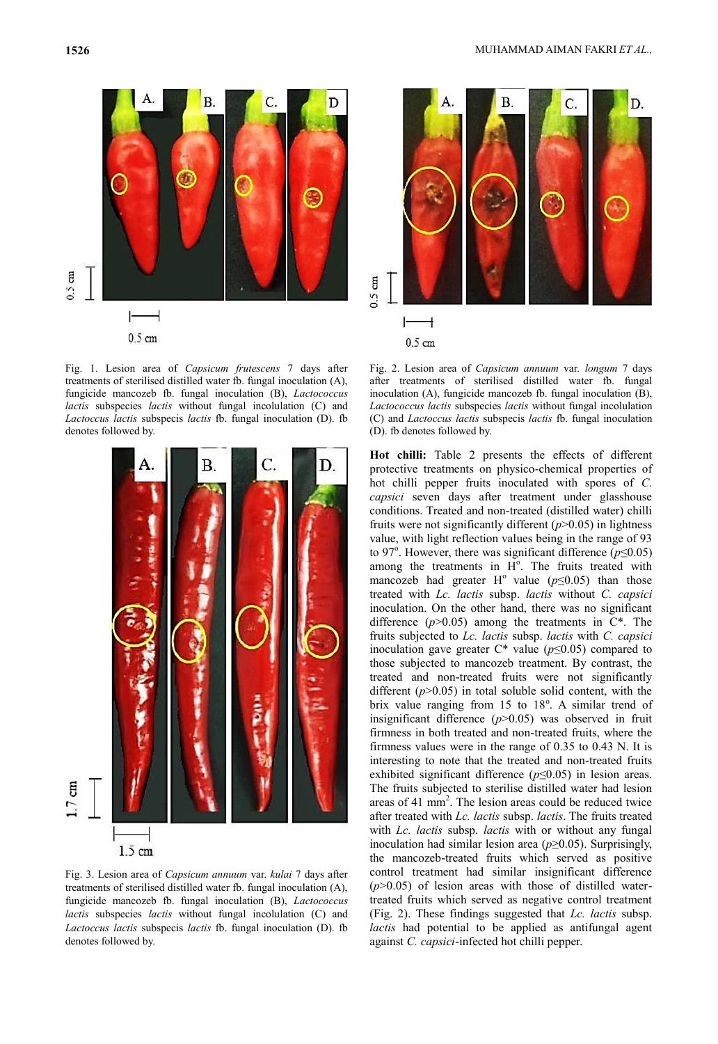

Fig. 1. Lesion area of *Capsicum frutescens* 7 days after treatments of sterilised distilled water fb. fungal inoculation (A), fungicide mancozeb fb. fungal inoculation (B), *Lactococcus lactis* subspecies *lactis* without fungal incolulation (C) and *Lactoccus lactis* subspecis *lactis* fb. fungal inoculation (D). fb denotes followed by.



Fig. 3. Lesion area of *Capsicum annuum* var. *kulai* 7 days after treatments of sterilised distilled water fb. fungal inoculation (A), fungicide mancozeb fb. fungal inoculation (B), *Lactococcus lactis* subspecies *lactis* without fungal incolulation (C) and *Lactoccus lactis* subspecis *lactis* fb. fungal inoculation (D). fb denotes followed by.



Fig. 2. Lesion area of *Capsicum annuum* var*. longum* 7 days after treatments of sterilised distilled water fb. fungal inoculation (A), fungicide mancozeb fb. fungal inoculation (B), *Lactococcus lactis* subspecies *lactis* without fungal incolulation (C) and *Lactoccus lactis* subspecis *lactis* fb. fungal inoculation (D). fb denotes followed by.

**Hot chilli:** Table 2 presents the effects of different protective treatments on physico-chemical properties of hot chilli pepper fruits inoculated with spores of *C. capsici* seven days after treatment under glasshouse conditions. Treated and non-treated (distilled water) chilli fruits were not significantly different (*p*>0.05) in lightness value, with light reflection values being in the range of 93 to 97<sup>°</sup>. However, there was significant difference  $(p \le 0.05)$ among the treatments in  $H^{\circ}$ . The fruits treated with mancozeb had greater H<sup>o</sup> value ( $p \le 0.05$ ) than those treated with *Lc. lactis* subsp. *lactis* without *C. capsici* inoculation. On the other hand, there was no significant difference  $(p>0.05)$  among the treatments in  $C^*$ . The fruits subjected to *Lc. lactis* subsp. *lactis* with *C. capsici* inoculation gave greater C\* value (*p*≤0.05) compared to those subjected to mancozeb treatment. By contrast, the treated and non-treated fruits were not significantly different  $(p>0.05)$  in total soluble solid content, with the brix value ranging from  $15$  to  $18^\circ$ . A similar trend of insignificant difference (*p*>0.05) was observed in fruit firmness in both treated and non-treated fruits, where the firmness values were in the range of 0.35 to 0.43 N. It is interesting to note that the treated and non-treated fruits exhibited significant difference (*p*≤0.05) in lesion areas. The fruits subjected to sterilise distilled water had lesion areas of 41  $\text{mm}^2$ . The lesion areas could be reduced twice after treated with *Lc. lactis* subsp. *lactis*. The fruits treated with *Lc. lactis* subsp. *lactis* with or without any fungal inoculation had similar lesion area (*p*≥0.05). Surprisingly, the mancozeb-treated fruits which served as positive control treatment had similar insignificant difference  $(p>0.05)$  of lesion areas with those of distilled watertreated fruits which served as negative control treatment (Fig. 2). These findings suggested that *Lc. lactis* subsp. *lactis* had potential to be applied as antifungal agent against *C. capsici*-infected hot chilli pepper.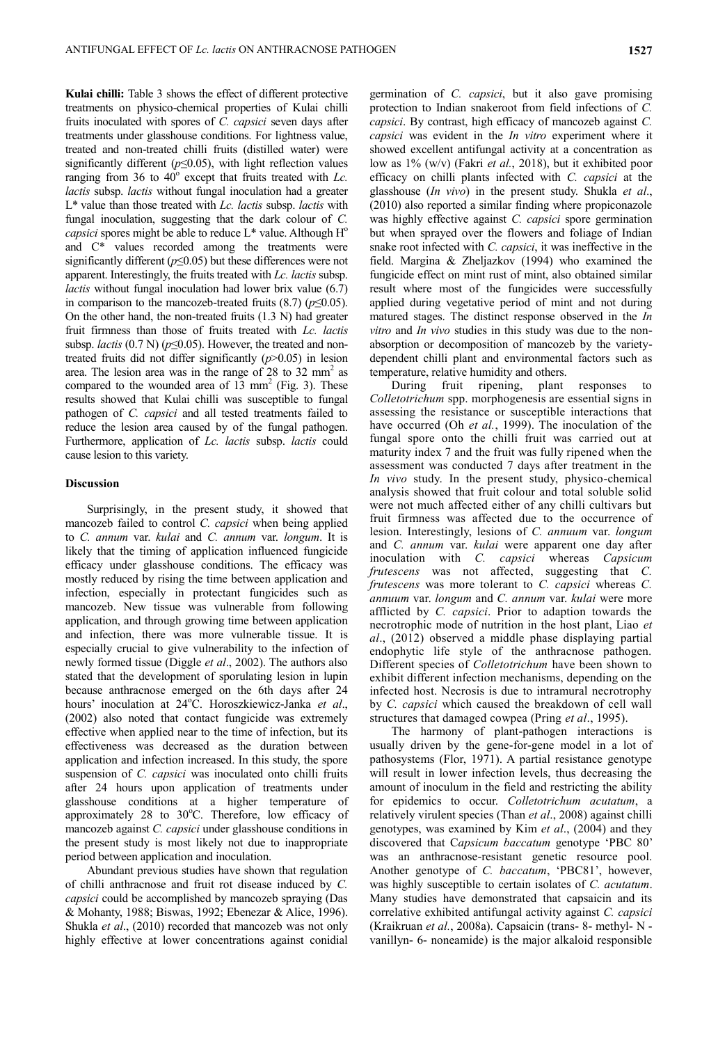**Kulai chilli:** Table 3 shows the effect of different protective treatments on physico-chemical properties of Kulai chilli fruits inoculated with spores of *C. capsici* seven days after treatments under glasshouse conditions. For lightness value, treated and non-treated chilli fruits (distilled water) were significantly different  $(p \le 0.05)$ , with light reflection values ranging from 36 to 40<sup>°</sup> except that fruits treated with *Lc*. *lactis* subsp. *lactis* without fungal inoculation had a greater L\* value than those treated with *Lc. lactis* subsp. *lactis* with fungal inoculation, suggesting that the dark colour of *C. capsici* spores might be able to reduce  $L^*$  value. Although  $H^o$ and C\* values recorded among the treatments were significantly different (*p*≤0.05) but these differences were not apparent. Interestingly, the fruits treated with *Lc. lactis* subsp. *lactis* without fungal inoculation had lower brix value (6.7) in comparison to the mancozeb-treated fruits  $(8.7)$  ( $p \le 0.05$ ). On the other hand, the non-treated fruits (1.3 N) had greater fruit firmness than those of fruits treated with *Lc. lactis* subsp. *lactis* (0.7 N) (*p*≤0.05). However, the treated and nontreated fruits did not differ significantly (*p*>0.05) in lesion area. The lesion area was in the range of  $28$  to  $32$  mm<sup>2</sup> as compared to the wounded area of  $13 \text{ mm}^2$  (Fig. 3). These results showed that Kulai chilli was susceptible to fungal pathogen of *C. capsici* and all tested treatments failed to reduce the lesion area caused by of the fungal pathogen. Furthermore, application of *Lc. lactis* subsp. *lactis* could cause lesion to this variety.

#### **Discussion**

Surprisingly, in the present study, it showed that mancozeb failed to control *C. capsici* when being applied to *C. annum* var. *kulai* and *C. annum* var. *longum*. It is likely that the timing of application influenced fungicide efficacy under glasshouse conditions. The efficacy was mostly reduced by rising the time between application and infection, especially in protectant fungicides such as mancozeb. New tissue was vulnerable from following application, and through growing time between application and infection, there was more vulnerable tissue. It is especially crucial to give vulnerability to the infection of newly formed tissue (Diggle *et al*., 2002). The authors also stated that the development of sporulating lesion in lupin because anthracnose emerged on the 6th days after 24 hours' inoculation at 24°C. Horoszkiewicz-Janka et al., (2002) also noted that contact fungicide was extremely effective when applied near to the time of infection, but its effectiveness was decreased as the duration between application and infection increased. In this study, the spore suspension of *C. capsici* was inoculated onto chilli fruits after 24 hours upon application of treatments under glasshouse conditions at a higher temperature of approximately  $28$  to  $30^{\circ}$ C. Therefore, low efficacy of mancozeb against *C. capsici* under glasshouse conditions in the present study is most likely not due to inappropriate period between application and inoculation.

Abundant previous studies have shown that regulation of chilli anthracnose and fruit rot disease induced by *C. capsici* could be accomplished by mancozeb spraying (Das & Mohanty, 1988; Biswas, 1992; Ebenezar & Alice, 1996). Shukla *et al*., (2010) recorded that mancozeb was not only highly effective at lower concentrations against conidial

germination of *C. capsici*, but it also gave promising protection to Indian snakeroot from field infections of *C. capsici*. By contrast, high efficacy of mancozeb against *C. capsici* was evident in the *In vitro* experiment where it showed excellent antifungal activity at a concentration as low as 1% (w/v) (Fakri *et al.*, 2018), but it exhibited poor efficacy on chilli plants infected with *C. capsici* at the glasshouse (*In vivo*) in the present study. Shukla *et al*., (2010) also reported a similar finding where propiconazole was highly effective against *C. capsici* spore germination but when sprayed over the flowers and foliage of Indian snake root infected with *C. capsici*, it was ineffective in the field. Margina & Zheljazkov (1994) who examined the fungicide effect on mint rust of mint, also obtained similar result where most of the fungicides were successfully applied during vegetative period of mint and not during matured stages. The distinct response observed in the *In vitro* and *In vivo* studies in this study was due to the nonabsorption or decomposition of mancozeb by the varietydependent chilli plant and environmental factors such as temperature, relative humidity and others.

During fruit ripening, plant responses to *Colletotrichum* spp. morphogenesis are essential signs in assessing the resistance or susceptible interactions that have occurred (Oh *et al.*, 1999). The inoculation of the fungal spore onto the chilli fruit was carried out at maturity index 7 and the fruit was fully ripened when the assessment was conducted 7 days after treatment in the *In vivo* study. In the present study, physico-chemical analysis showed that fruit colour and total soluble solid were not much affected either of any chilli cultivars but fruit firmness was affected due to the occurrence of lesion. Interestingly, lesions of *C. annuum* var. *longum* and *C. annum* var. *kulai* were apparent one day after inoculation with *C. capsici* whereas *Capsicum frutescens* was not affected, suggesting that *C. frutescens* was more tolerant to *C. capsici* whereas *C. annuum* var. *longum* and *C. annum* var. *kulai* were more afflicted by *C. capsici*. Prior to adaption towards the necrotrophic mode of nutrition in the host plant, Liao *et al*., (2012) observed a middle phase displaying partial endophytic life style of the anthracnose pathogen. Different species of *Colletotrichum* have been shown to exhibit different infection mechanisms, depending on the infected host. Necrosis is due to intramural necrotrophy by *C. capsici* which caused the breakdown of cell wall structures that damaged cowpea (Pring *et al*., 1995).

The harmony of plant-pathogen interactions is usually driven by the gene-for-gene model in a lot of pathosystems (Flor, 1971). A partial resistance genotype will result in lower infection levels, thus decreasing the amount of inoculum in the field and restricting the ability for epidemics to occur. *Colletotrichum acutatum*, a relatively virulent species (Than *et al*., 2008) against chilli genotypes, was examined by Kim *et al*., (2004) and they discovered that C*apsicum baccatum* genotype 'PBC 80' was an anthracnose-resistant genetic resource pool. Another genotype of *C. baccatum*, 'PBC81', however, was highly susceptible to certain isolates of *C. acutatum*. Many studies have demonstrated that capsaicin and its correlative exhibited antifungal activity against *C. capsici*  (Kraikruan *et al.*, 2008a). Capsaicin (trans- 8- methyl- N vanillyn- 6- noneamide) is the major alkaloid responsible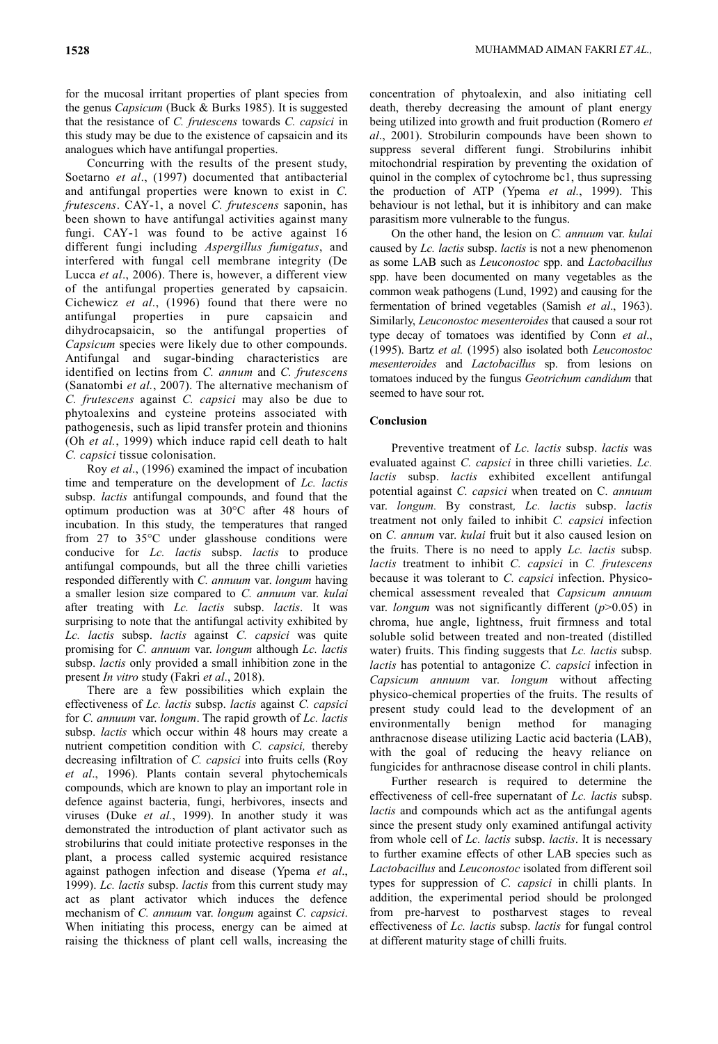for the mucosal irritant properties of plant species from the genus *Capsicum* (Buck & Burks 1985). It is suggested that the resistance of *C. frutescens* towards *C. capsici* in this study may be due to the existence of capsaicin and its analogues which have antifungal properties.

Concurring with the results of the present study, Soetarno *et al*., (1997) documented that antibacterial and antifungal properties were known to exist in *C. frutescens*. CAY-1, a novel *C. frutescens* saponin, has been shown to have antifungal activities against many fungi. CAY-1 was found to be active against 16 different fungi including *Aspergillus fumigatus*, and interfered with fungal cell membrane integrity (De Lucca *et al*., 2006). There is, however, a different view of the antifungal properties generated by capsaicin. Cichewicz *et al*., (1996) found that there were no antifungal properties in pure capsaicin and dihydrocapsaicin, so the antifungal properties of *Capsicum* species were likely due to other compounds. Antifungal and sugar-binding characteristics are identified on lectins from *C. annum* and *C. frutescens* (Sanatombi *et al.*, 2007). The alternative mechanism of *C. frutescens* against *C. capsici* may also be due to phytoalexins and cysteine proteins associated with pathogenesis, such as lipid transfer protein and thionins (Oh *et al.*, 1999) which induce rapid cell death to halt *C. capsici* tissue colonisation.

Roy *et al*., (1996) examined the impact of incubation time and temperature on the development of *Lc. lactis* subsp. *lactis* antifungal compounds, and found that the optimum production was at 30°C after 48 hours of incubation. In this study, the temperatures that ranged from 27 to 35°C under glasshouse conditions were conducive for *Lc. lactis* subsp. *lactis* to produce antifungal compounds, but all the three chilli varieties responded differently with *C. annuum* var. *longum* having a smaller lesion size compared to *C. annuum* var. *kulai* after treating with *Lc. lactis* subsp. *lactis*. It was surprising to note that the antifungal activity exhibited by *Lc. lactis* subsp. *lactis* against *C. capsici* was quite promising for *C. annuum* var. *longum* although *Lc. lactis* subsp. *lactis* only provided a small inhibition zone in the present *In vitro* study (Fakri *et al*., 2018).

There are a few possibilities which explain the effectiveness of *Lc. lactis* subsp. *lactis* against *C. capsici* for *C. annuum* var. *longum*. The rapid growth of *Lc. lactis* subsp. *lactis* which occur within 48 hours may create a nutrient competition condition with *C. capsici,* thereby decreasing infiltration of *C. capsici* into fruits cells (Roy *et al*., 1996). Plants contain several phytochemicals compounds, which are known to play an important role in defence against bacteria, fungi, herbivores, insects and viruses (Duke *et al.*, 1999). In another study it was demonstrated the introduction of plant activator such as strobilurins that could initiate protective responses in the plant, a process called systemic acquired resistance against pathogen infection and disease (Ypema *et al*., 1999). *Lc. lactis* subsp. *lactis* from this current study may act as plant activator which induces the defence mechanism of *C. annuum* var. *longum* against *C. capsici*. When initiating this process, energy can be aimed at raising the thickness of plant cell walls, increasing the

concentration of phytoalexin, and also initiating cell death, thereby decreasing the amount of plant energy being utilized into growth and fruit production (Romero *et al*., 2001). Strobilurin compounds have been shown to suppress several different fungi. Strobilurins inhibit mitochondrial respiration by preventing the oxidation of quinol in the complex of cytochrome bc1, thus supressing the production of ATP (Ypema *et al.*, 1999). This behaviour is not lethal, but it is inhibitory and can make parasitism more vulnerable to the fungus.

On the other hand, the lesion on *C. annuum* var. *kulai* caused by *Lc. lactis* subsp. *lactis* is not a new phenomenon as some LAB such as *Leuconostoc* spp. and *Lactobacillus* spp. have been documented on many vegetables as the common weak pathogens (Lund, 1992) and causing for the fermentation of brined vegetables (Samish *et al*., 1963). Similarly, *Leuconostoc mesenteroides* that caused a sour rot type decay of tomatoes was identified by Conn *et al*., (1995). Bartz *et al.* (1995) also isolated both *Leuconostoc mesenteroides* and *Lactobacillus* sp. from lesions on tomatoes induced by the fungus *Geotrichum candidum* that seemed to have sour rot.

### **Conclusion**

Preventive treatment of *Lc. lactis* subsp. *lactis* was evaluated against *C. capsici* in three chilli varieties. *Lc. lactis* subsp. *lactis* exhibited excellent antifungal potential against *C. capsici* when treated on C*. annuum* var. *longum.* By constrast*, Lc. lactis* subsp. *lactis*  treatment not only failed to inhibit *C. capsici* infection on *C. annum* var. *kulai* fruit but it also caused lesion on the fruits. There is no need to apply *Lc. lactis* subsp. *lactis* treatment to inhibit *C. capsici* in *C. frutescens* because it was tolerant to *C. capsici* infection. Physicochemical assessment revealed that *Capsicum annuum* var. *longum* was not significantly different (*p*>0.05) in chroma, hue angle, lightness, fruit firmness and total soluble solid between treated and non-treated (distilled water) fruits. This finding suggests that *Lc. lactis* subsp. *lactis* has potential to antagonize *C. capsici* infection in *Capsicum annuum* var. *longum* without affecting physico-chemical properties of the fruits. The results of present study could lead to the development of an environmentally benign method for managing anthracnose disease utilizing Lactic acid bacteria (LAB), with the goal of reducing the heavy reliance on fungicides for anthracnose disease control in chili plants.

Further research is required to determine the effectiveness of cell-free supernatant of *Lc. lactis* subsp. *lactis* and compounds which act as the antifungal agents since the present study only examined antifungal activity from whole cell of *Lc. lactis* subsp. *lactis*. It is necessary to further examine effects of other LAB species such as *Lactobacillus* and *Leuconostoc* isolated from different soil types for suppression of *C. capsici* in chilli plants. In addition, the experimental period should be prolonged from pre-harvest to postharvest stages to reveal effectiveness of *Lc. lactis* subsp. *lactis* for fungal control at different maturity stage of chilli fruits.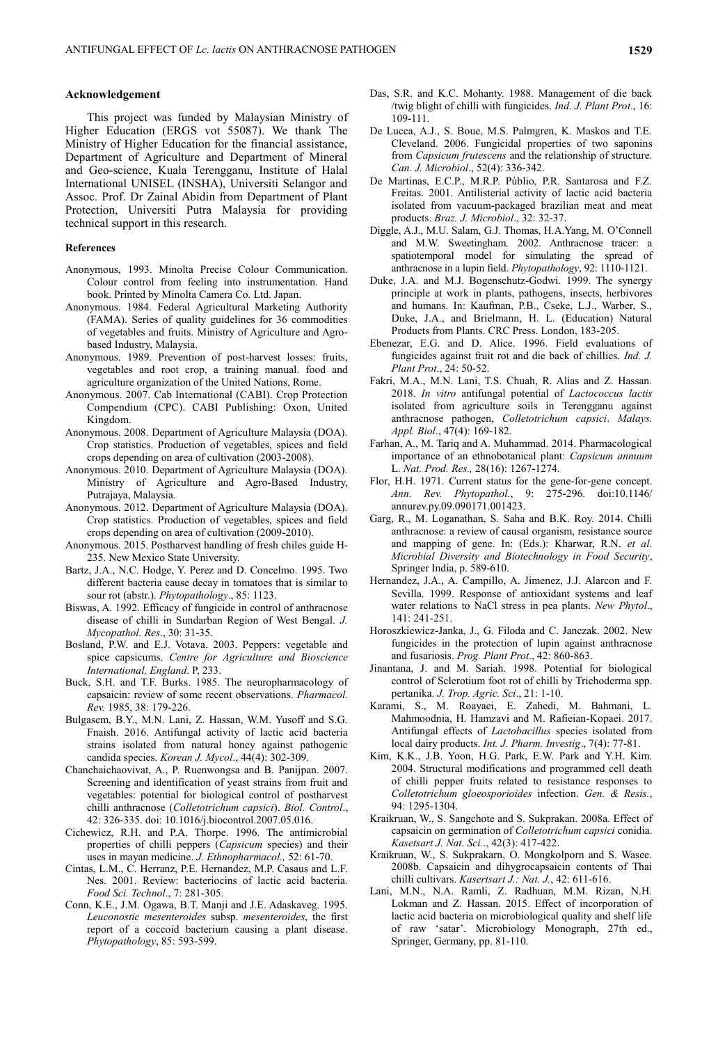### **Acknowledgement**

This project was funded by Malaysian Ministry of Higher Education (ERGS vot 55087). We thank The Ministry of Higher Education for the financial assistance, Department of Agriculture and Department of Mineral and Geo-science, Kuala Terengganu, Institute of Halal International UNISEL (INSHA), Universiti Selangor and Assoc. Prof. Dr Zainal Abidin from Department of Plant Protection, Universiti Putra Malaysia for providing technical support in this research.

#### **References**

- Anonymous, 1993. Minolta Precise Colour Communication. Colour control from feeling into instrumentation. Hand book. Printed by Minolta Camera Co. Ltd. Japan.
- Anonymous. 1984. Federal Agricultural Marketing Authority (FAMA). Series of quality guidelines for 36 commodities of vegetables and fruits. Ministry of Agriculture and Agrobased Industry, Malaysia.
- Anonymous. 1989. Prevention of post-harvest losses: fruits, vegetables and root crop, a training manual. food and agriculture organization of the United Nations, Rome.
- Anonymous. 2007. Cab International (CABI). Crop Protection Compendium (CPC). CABI Publishing: Oxon, United Kingdom.
- Anonymous. 2008. Department of Agriculture Malaysia (DOA). Crop statistics. Production of vegetables, spices and field crops depending on area of cultivation (2003-2008).
- Anonymous. 2010. Department of Agriculture Malaysia (DOA). Ministry of Agriculture and Agro-Based Industry, Putrajaya, Malaysia.
- Anonymous. 2012. Department of Agriculture Malaysia (DOA). Crop statistics. Production of vegetables, spices and field crops depending on area of cultivation (2009-2010).
- Anonymous. 2015. Postharvest handling of fresh chiles guide H-235. New Mexico State University.
- Bartz, J.A., N.C. Hodge, Y. Perez and D. Concelmo. 1995. Two different bacteria cause decay in tomatoes that is similar to sour rot (abstr.). *Phytopathology*., 85: 1123.
- Biswas, A. 1992. Efficacy of fungicide in control of anthracnose disease of chilli in Sundarban Region of West Bengal. *J. Mycopathol. Res*., 30: 31-35.
- Bosland, P.W. and E.J. Votava. 2003. Peppers: vegetable and spice capsicums. *Centre for Agriculture and Bioscience International, England*. P, 233.
- Buck, S.H. and T.F. Burks. 1985. The neuropharmacology of capsaicin: review of some recent observations. *Pharmacol. Rev.* 1985, 38: 179-226.
- Bulgasem, B.Y., M.N. Lani, Z. Hassan, W.M. Yusoff and S.G. Fnaish. 2016. Antifungal activity of lactic acid bacteria strains isolated from natural honey against pathogenic candida species. *Korean J. Mycol*., 44(4): 302-309.
- Chanchaichaovivat, A., P. Ruenwongsa and B. Panijpan. 2007. Screening and identification of yeast strains from fruit and vegetables: potential for biological control of postharvest chilli anthracnose (*Colletotrichum capsici*). *Biol. Control*., 42: 326-335. doi: 10.1016/j.biocontrol.2007.05.016.
- Cichewicz, R.H. and P.A. Thorpe. 1996. The antimicrobial properties of chilli peppers (*Capsicum* species) and their uses in mayan medicine. *J. Ethnopharmacol.,* 52: 61-70.
- Cintas, L.M., C. Herranz, P.E. Hernandez, M.P. Casaus and L.F. Nes. 2001. Review: bacteriocins of lactic acid bacteria. *Food Sci. Technol*., 7: 281-305.
- Conn, K.E., J.M. Ogawa, B.T. Manji and J.E. Adaskaveg. 1995. *Leuconostic mesenteroides* subsp. *mesenteroides*, the first report of a coccoid bacterium causing a plant disease. *Phytopathology*, 85: 593-599.
- Das, S.R. and K.C. Mohanty. 1988. Management of die back /twig blight of chilli with fungicides. *Ind. J. Plant Prot*., 16: 109-111.
- De Lucca, A.J., S. Boue, M.S. Palmgren, K. Maskos and T.E. Cleveland. 2006. Fungicidal properties of two saponins from *Capsicum frutescens* and the relationship of structure. *Can. J. Microbiol*., 52(4): 336-342.
- De Martinas, E.C.P., M.R.P. Públio, P.R. Santarosa and F.Z. Freitas. 2001. Antilisterial activity of lactic acid bacteria isolated from vacuum-packaged brazilian meat and meat products. *Braz. J. Microbiol*., 32: 32-37.
- Diggle, A.J., M.U. Salam, G.J. Thomas, H.A.Yang, M. O'Connell and M.W. Sweetingham. 2002. Anthracnose tracer: a spatiotemporal model for simulating the spread of anthracnose in a lupin field. *Phytopathology*, 92: 1110-1121.
- Duke, J.A. and M.J. Bogenschutz-Godwi. 1999. The synergy principle at work in plants, pathogens, insects, herbivores and humans. In: Kaufman, P.B., Cseke, L.J., Warber, S., Duke, J.A., and Brielmann, H. L. (Education) Natural Products from Plants. CRC Press. London, 183-205.
- Ebenezar, E.G. and D. Alice. 1996. Field evaluations of fungicides against fruit rot and die back of chillies. *Ind. J. Plant Prot*., 24: 50-52.
- Fakri, M.A., M.N. Lani, T.S. Chuah, R. Alias and Z. Hassan. 2018. *In vitro* antifungal potential of *Lactococcus lactis* isolated from agriculture soils in Terengganu against anthracnose pathogen, *Colletotrichum capsici*. *Malays. Appl. Biol*., 47(4): 169-182.
- Farhan, A., M. Tariq and A. Muhammad. 2014. Pharmacological importance of an ethnobotanical plant: *Capsicum annuum* L. *Nat. Prod. Res.,* 28(16): 1267-1274.
- Flor, H.H. 1971. Current status for the gene-for-gene concept. *Ann. Rev. Phytopathol.*, 9: 275-296. doi:10.1146/ annurev.py.09.090171.001423.
- Garg, R., M. Loganathan, S. Saha and B.K. Roy. 2014. Chilli anthracnose: a review of causal organism, resistance source and mapping of gene. In: (Eds.): Kharwar, R.N. *et al*. *Microbial Diversity and Biotechnology in Food Security*, Springer India, p. 589-610.
- Hernandez, J.A., A. Campillo, A. Jimenez, J.J. Alarcon and F. Sevilla. 1999. Response of antioxidant systems and leaf water relations to NaCl stress in pea plants. *New Phytol*., 141: 241-251.
- Horoszkiewicz-Janka, J., G. Filoda and C. Janczak. 2002. New fungicides in the protection of lupin against anthracnose and fusariosis. *Prog. Plant Prot*., 42: 860-863.
- Jinantana, J. and M. Sariah. 1998. Potential for biological control of Sclerotium foot rot of chilli by Trichoderma spp. pertanika. *J. Trop. Agric. Sci*., 21: 1-10.
- Karami, S., M. Roayaei, E. Zahedi, M. Bahmani, L. Mahmoodnia, H. Hamzavi and M. Rafieian-Kopaei. 2017. Antifungal effects of *Lactobacillus* species isolated from local dairy products. *Int. J. Pharm. Investig*., 7(4): 77-81.
- Kim, K.K., J.B. Yoon, H.G. Park, E.W. Park and Y.H. Kim. 2004. Structural modifications and programmed cell death of chilli pepper fruits related to resistance responses to *Colletotrichum gloeosporioides* infection. *Gen. & Resis.*, 94: 1295-1304.
- Kraikruan, W., S. Sangchote and S. Sukprakan. 2008a. Effect of capsaicin on germination of *Colletotrichum capsici* conidia. *Kasetsart J. Nat. Sci.*., 42(3): 417-422.
- Kraikruan, W., S. Sukprakarn, O. Mongkolporn and S. Wasee. 2008b. Capsaicin and dihygrocapsaicin contents of Thai chilli cultivars. *Kasertsart J.: Nat. J.*, 42: 611-616.
- Lani, M.N., N.A. Ramli, Z. Radhuan, M.M. Rizan, N.H. Lokman and Z. Hassan. 2015. Effect of incorporation of lactic acid bacteria on microbiological quality and shelf life of raw 'satar'. Microbiology Monograph, 27th ed., Springer, Germany, pp. 81-110.